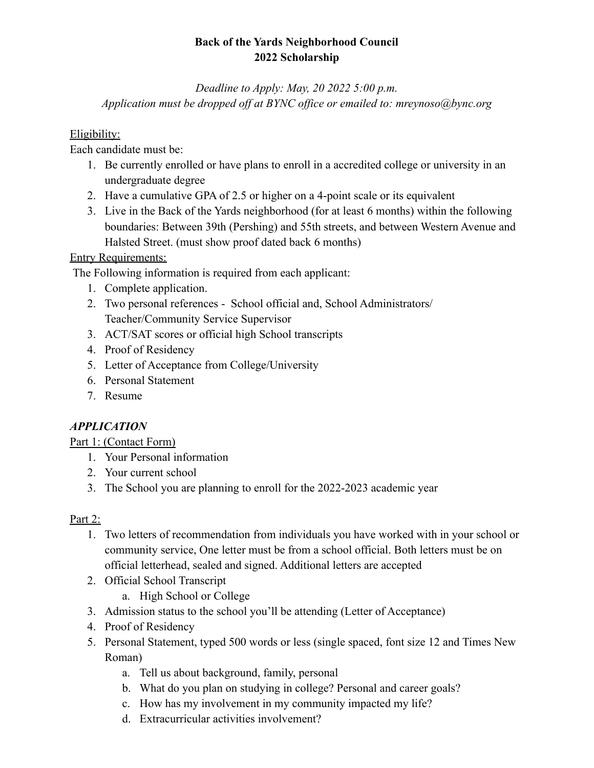# **Back of the Yards Neighborhood Council 2022 Scholarship**

*Deadline to Apply: May, 20 2022 5:00 p.m. Application must be dropped off at BYNC office or emailed to: mreynoso@bync.org*

## Eligibility:

Each candidate must be:

- 1. Be currently enrolled or have plans to enroll in a accredited college or university in an undergraduate degree
- 2. Have a cumulative GPA of 2.5 or higher on a 4-point scale or its equivalent
- 3. Live in the Back of the Yards neighborhood (for at least 6 months) within the following boundaries: Between 39th (Pershing) and 55th streets, and between Western Avenue and Halsted Street. (must show proof dated back 6 months)

# Entry Requirements:

The Following information is required from each applicant:

- 1. Complete application.
- 2. Two personal references School official and, School Administrators/ Teacher/Community Service Supervisor
- 3. ACT/SAT scores or official high School transcripts
- 4. Proof of Residency
- 5. Letter of Acceptance from College/University
- 6. Personal Statement
- 7. Resume

# *APPLICATION*

Part 1: (Contact Form)

- 1. Your Personal information
- 2. Your current school
- 3. The School you are planning to enroll for the 2022-2023 academic year

## Part 2:

- 1. Two letters of recommendation from individuals you have worked with in your school or community service, One letter must be from a school official. Both letters must be on official letterhead, sealed and signed. Additional letters are accepted
- 2. Official School Transcript
	- a. High School or College
- 3. Admission status to the school you'll be attending (Letter of Acceptance)
- 4. Proof of Residency
- 5. Personal Statement, typed 500 words or less (single spaced, font size 12 and Times New Roman)
	- a. Tell us about background, family, personal
	- b. What do you plan on studying in college? Personal and career goals?
	- c. How has my involvement in my community impacted my life?
	- d. Extracurricular activities involvement?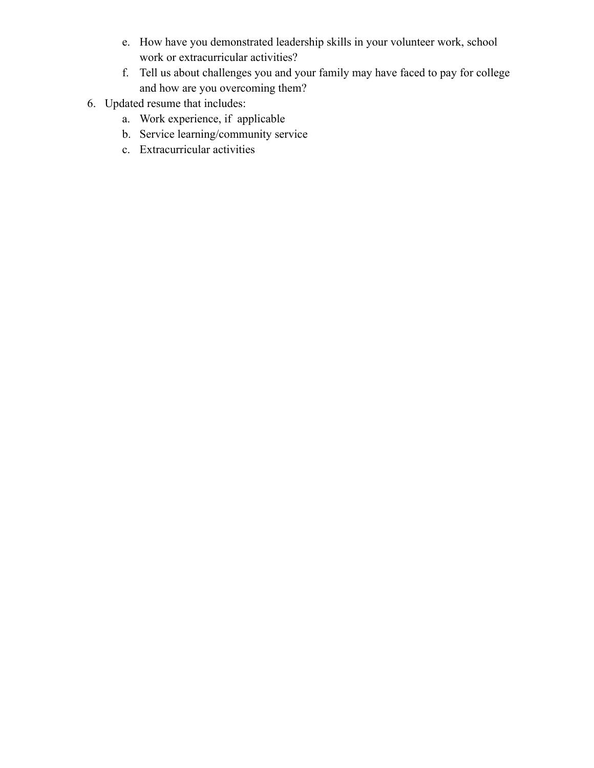- e. How have you demonstrated leadership skills in your volunteer work, school work or extracurricular activities?
- f. Tell us about challenges you and your family may have faced to pay for college and how are you overcoming them?
- 6. Updated resume that includes:
	- a. Work experience, if applicable
	- b. Service learning/community service
	- c. Extracurricular activities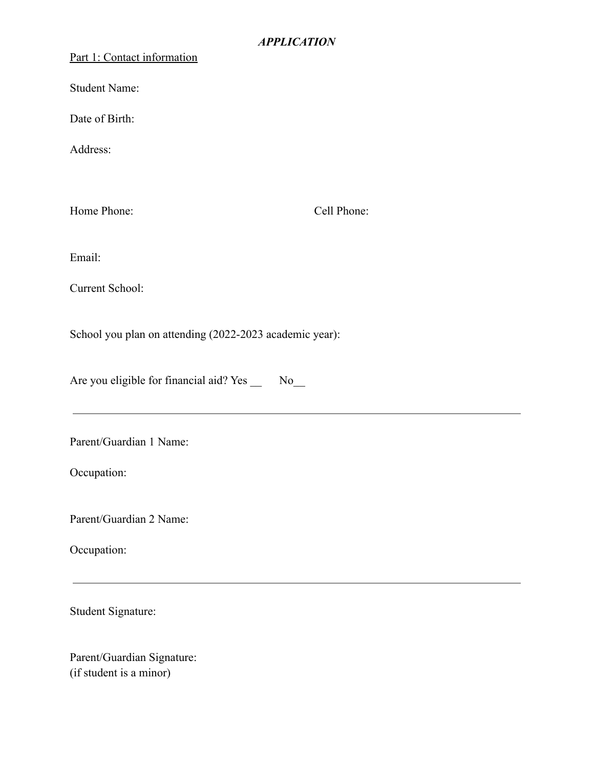#### Part 1: Contact information

Student Name:

Date of Birth:

Address:

Home Phone: Cell Phone:

Email:

Current School:

School you plan on attending (2022-2023 academic year):

Are you eligible for financial aid? Yes No

Parent/Guardian 1 Name:

Occupation:

Parent/Guardian 2 Name:

Occupation:

Student Signature:

Parent/Guardian Signature: (if student is a minor)